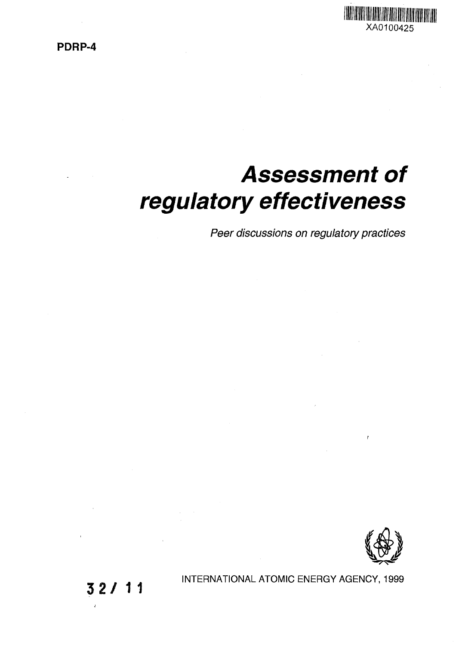PDRP-4



# **Assessment of regulatory effectiveness**

Peer discussions on regulatory practices



 $\mathbf{r}$ 

32/1 1

INTERNATIONAL ATOMIC ENERGY AGENCY, 1999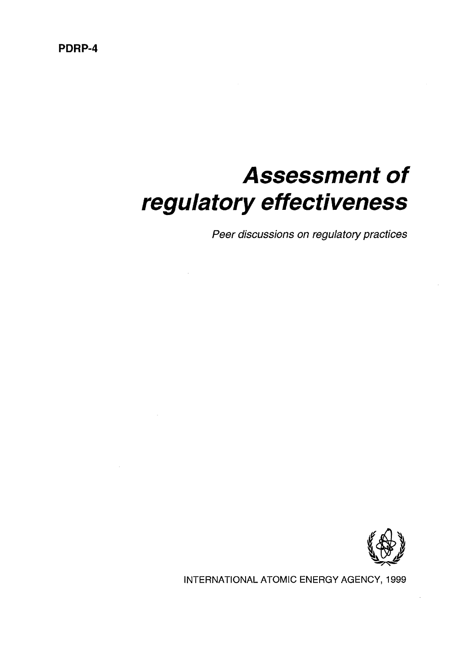## PDRP-4

# **Assessment of regulatory effectiveness**

Peer discussions on regulatory practices



INTERNATIONAL ATOMIC ENERGY AGENCY, 1999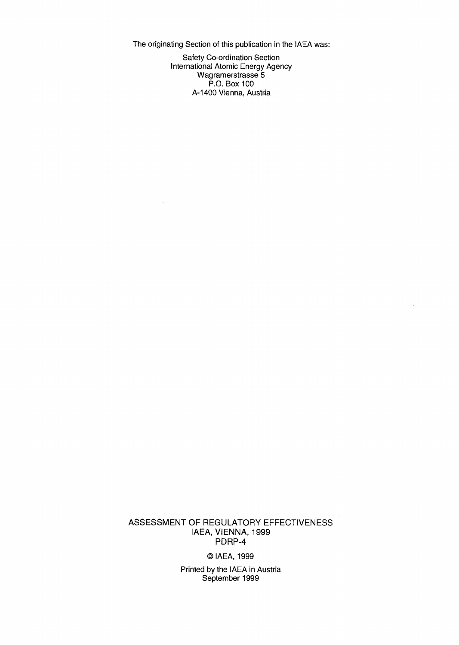The originating Section of this publication in the IAEA was:

Safety Co-ordination Section International Atomic Energy Agency Wagramerstrasse 5 P.O. Box 100 A-1400 Vienna, Austria

ASSESSMENT OF REGULATORY EFFECTIVENESS IAEA, VIENNA, 1999 PDRP-4

©IAEA, 1999

Printed by the IAEA in Austria September 1999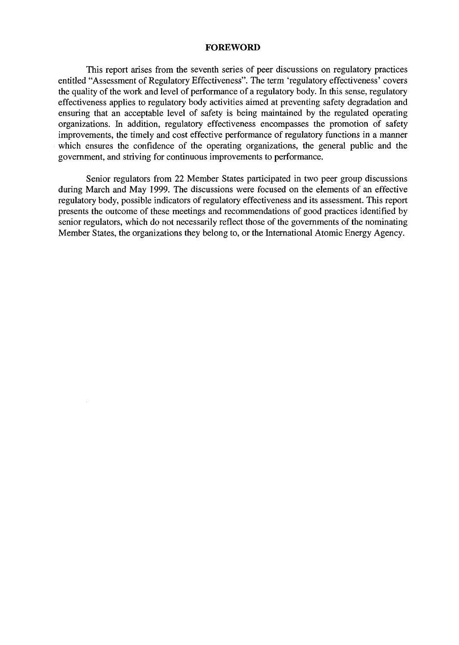#### FOREWORD

This report arises from the seventh series of peer discussions on regulatory practices entitled "Assessment of Regulatory Effectiveness". The term 'regulatory effectiveness' covers the quality of the work and level of performance of a regulatory body. In this sense, regulatory effectiveness applies to regulatory body activities aimed at preventing safety degradation and ensuring that an acceptable level of safety is being maintained by the regulated operating organizations. In addition, regulatory effectiveness encompasses the promotion of safety improvements, the timely and cost effective performance of regulatory functions in a manner which ensures the confidence of the operating organizations, the general public and the government, and striving for continuous improvements to performance.

Senior regulators from 22 Member States participated in two peer group discussions during March and May 1999. The discussions were focused on the elements of an effective regulatory body, possible indicators of regulatory effectiveness and its assessment. This report presents the outcome of these meetings and recommendations of good practices identified by senior regulators, which do not necessarily reflect those of the governments of the nominating Member States, the organizations they belong to, or the International Atomic Energy Agency.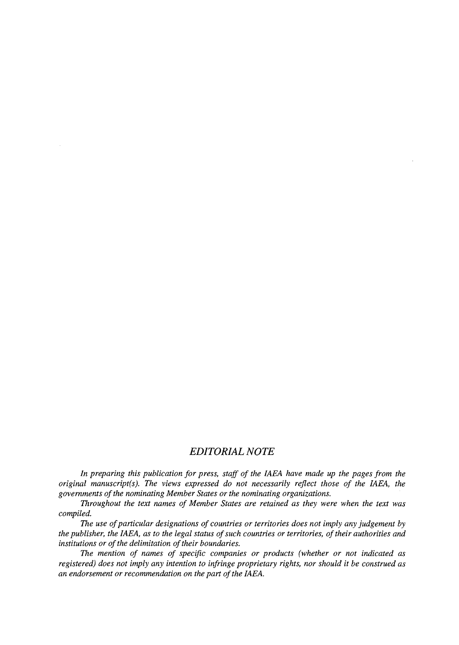## *EDITORIAL NOTE*

*In preparing this publication for press, staff of the IAEA have made up the pages from the original manuscript(s). The views expressed do not necessarily reflect those of the IAEA, the governments of the nominating Member States or the nominating organizations.*

*Throughout the text names of Member States are retained as they were when the text was compiled.*

*The use of particular designations of countries or territories does not imply any judgement by the publisher, the IAEA, as to the legal status of such countries or territories, of their authorities and institutions or of the delimitation of their boundaries.*

*The mention of names of specific companies or products (whether or not indicated as registered) does not imply any intention to infringe proprietary rights, nor should it be construed as an endorsement or recommendation on the part of the IAEA.*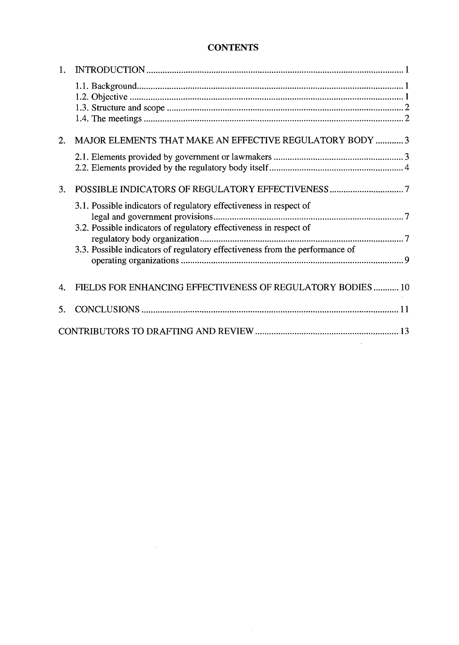## **CONTENTS**

| 1.               |                                                                                                                                          |  |  |
|------------------|------------------------------------------------------------------------------------------------------------------------------------------|--|--|
|                  |                                                                                                                                          |  |  |
|                  |                                                                                                                                          |  |  |
| $\overline{2}$ . | MAJOR ELEMENTS THAT MAKE AN EFFECTIVE REGULATORY BODY  3                                                                                 |  |  |
|                  |                                                                                                                                          |  |  |
| 3.               |                                                                                                                                          |  |  |
|                  | 3.1. Possible indicators of regulatory effectiveness in respect of<br>3.2. Possible indicators of regulatory effectiveness in respect of |  |  |
|                  |                                                                                                                                          |  |  |
|                  | 3.3. Possible indicators of regulatory effectiveness from the performance of                                                             |  |  |
| 4.               | FIELDS FOR ENHANCING EFFECTIVENESS OF REGULATORY BODIES 10                                                                               |  |  |
| 5.               |                                                                                                                                          |  |  |
|                  |                                                                                                                                          |  |  |

 $\sim 10^{10}$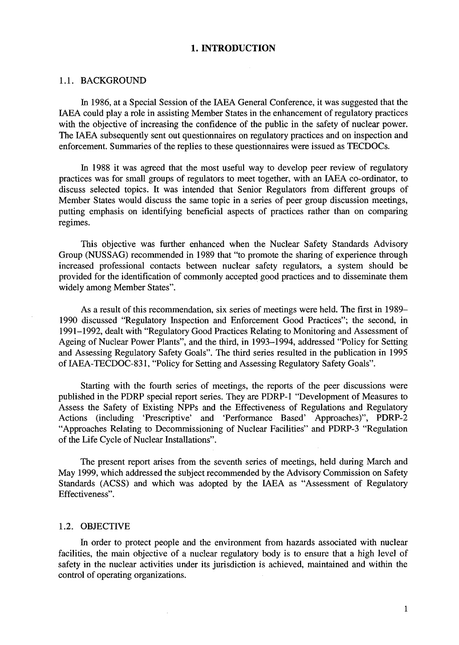#### **1. INTRODUCTION**

#### 1.1. BACKGROUND

In 1986, at a Special Session of the IAEA General Conference, it was suggested that the IAEA could play a role in assisting Member States in the enhancement of regulatory practices with the objective of increasing the confidence of the public in the safety of nuclear power. The IAEA subsequently sent out questionnaires on regulatory practices and on inspection and enforcement. Summaries of the replies to these questionnaires were issued as TECDOCs.

In 1988 it was agreed that the most useful way to develop peer review of regulatory practices was for small groups of regulators to meet together, with an IAEA co-ordinator, to discuss selected topics. It was intended that Senior Regulators from different groups of Member States would discuss the same topic in a series of peer group discussion meetings, putting emphasis on identifying beneficial aspects of practices rather than on comparing regimes.

This objective was further enhanced when the Nuclear Safety Standards Advisory Group (NUSSAG) recommended in 1989 that "to promote the sharing of experience through increased professional contacts between nuclear safety regulators, a system should be provided for the identification of commonly accepted good practices and to disseminate them widely among Member States".

As a result of this recommendation, six series of meetings were held. The first in 1989— 1990 discussed "Regulatory Inspection and Enforcement Good Practices"; the second, in 1991-1992, dealt with "Regulatory Good Practices Relating to Monitoring and Assessment of Ageing of Nuclear Power Plants", and the third, in 1993-1994, addressed "Policy for Setting and Assessing Regulatory Safety Goals". The third series resulted in the publication in 1995 of IAEA-TECDOC-831, "Policy for Setting and Assessing Regulatory Safety Goals".

Starting with the fourth series of meetings, the reports of the peer discussions were published in the PDRP special report series. They are PDRP-1 "Development of Measures to Assess the Safety of Existing NPPs and the Effectiveness of Regulations and Regulatory Actions (including 'Prescriptive' and 'Performance Based' Approaches)", PDRP-2 "Approaches Relating to Decommissioning of Nuclear Facilities" and PDRP-3 "Regulation of the Life Cycle of Nuclear Installations".

The present report arises from the seventh series of meetings, held during March and May 1999, which addressed the subject recommended by the Advisory Commission on Safety Standards (ACSS) and which was adopted by the IAEA as "Assessment of Regulatory Effectiveness".

#### 1.2. OBJECTIVE

In order to protect people and the environment from hazards associated with nuclear facilities, the main objective of a nuclear regulatory body is to ensure that a high level of safety in the nuclear activities under its jurisdiction is achieved, maintained and within the control of operating organizations.

J.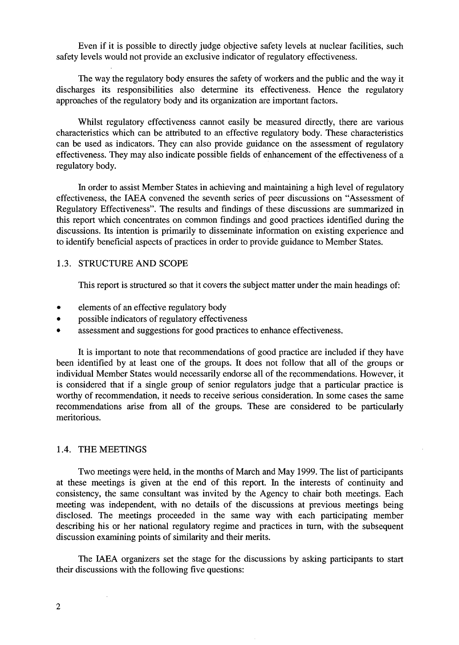Even if it is possible to directly judge objective safety levels at nuclear facilities, such safety levels would not provide an exclusive indicator of regulatory effectiveness.

The way the regulatory body ensures the safety of workers and the public and the way it discharges its responsibilities also determine its effectiveness. Hence the regulatory approaches of the regulatory body and its organization are important factors.

Whilst regulatory effectiveness cannot easily be measured directly, there are various characteristics which can be attributed to an effective regulatory body. These characteristics can be used as indicators. They can also provide guidance on the assessment of regulatory effectiveness. They may also indicate possible fields of enhancement of the effectiveness of a regulatory body.

In order to assist Member States in achieving and maintaining a high level of regulatory effectiveness, the IAEA convened the seventh series of peer discussions on "Assessment of Regulatory Effectiveness". The results and findings of these discussions are summarized in this report which concentrates on common findings and good practices identified during the discussions. Its intention is primarily to disseminate information on existing experience and to identify beneficial aspects of practices in order to provide guidance to Member States.

#### 1.3. STRUCTURE AND SCOPE

This report is structured so that it covers the subject matter under the main headings of:

- elements of an effective regulatory body
- possible indicators of regulatory effectiveness
- assessment and suggestions for good practices to enhance effectiveness.

It is important to note that recommendations of good practice are included if they have been identified by at least one of the groups. It does not follow that all of the groups or individual Member States would necessarily endorse all of the recommendations. However, it is considered that if a single group of senior regulators judge that a particular practice is worthy of recommendation, it needs to receive serious consideration. In some cases the same recommendations arise from all of the groups. These are considered to be particularly meritorious.

#### 1.4. THE MEETINGS

Two meetings were held, in the months of March and May 1999. The list of participants at these meetings is given at the end of this report. In the interests of continuity and consistency, the same consultant was invited by the Agency to chair both meetings. Each meeting was independent, with no details of the discussions at previous meetings being disclosed. The meetings proceeded in the same way with each participating member describing his or her national regulatory regime and practices in turn, with the subsequent discussion examining points of similarity and their merits.

The IAEA organizers set the stage for the discussions by asking participants to start their discussions with the following five questions: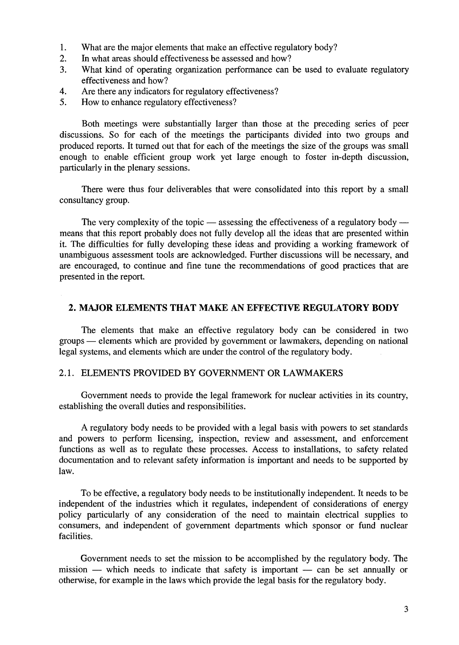- 1. What are the major elements that make an effective regulatory body?
- 2. In what areas should effectiveness be assessed and how?
- 3. What kind of operating organization performance can be used to evaluate regulatory effectiveness and how?
- 4. Are there any indicators for regulatory effectiveness?
- 5. How to enhance regulatory effectiveness?

Both meetings were substantially larger than those at the preceding series of peer discussions. So for each of the meetings the participants divided into two groups and produced reports. It turned out that for each of the meetings the size of the groups was small enough to enable efficient group work yet large enough to foster in-depth discussion, particularly in the plenary sessions.

There were thus four deliverables that were consolidated into this report by a small consultancy group.

The very complexity of the topic — assessing the effectiveness of a regulatory body means that this report probably does not fully develop all the ideas that are presented within it. The difficulties for fully developing these ideas and providing a working framework of unambiguous assessment tools are acknowledged. Further discussions will be necessary, and are encouraged, to continue and fine tune the recommendations of good practices that are presented in the report.

#### **2. MAJOR ELEMENTS THAT MAKE AN EFFECTIVE REGULATORY BODY**

The elements that make an effective regulatory body can be considered in two groups — elements which are provided by government or lawmakers, depending on national legal systems, and elements which are under the control of the regulatory body.

#### 2.1. ELEMENTS PROVIDED BY GOVERNMENT OR LAWMAKERS

Government needs to provide the legal framework for nuclear activities in its country, establishing the overall duties and responsibilities.

A regulatory body needs to be provided with a legal basis with powers to set standards and powers to perform licensing, inspection, review and assessment, and enforcement functions as well as to regulate these processes. Access to installations, to safety related documentation and to relevant safety information is important and needs to be supported by law.

To be effective, a regulatory body needs to be institutionally independent. It needs to be independent of the industries which it regulates, independent of considerations of energy policy particularly of any consideration of the need to maintain electrical supplies to consumers, and independent of government departments which sponsor or fund nuclear facilities.

Government needs to set the mission to be accomplished by the regulatory body. The mission — which needs to indicate that safety is important — can be set annually or otherwise, for example in the laws which provide the legal basis for the regulatory body.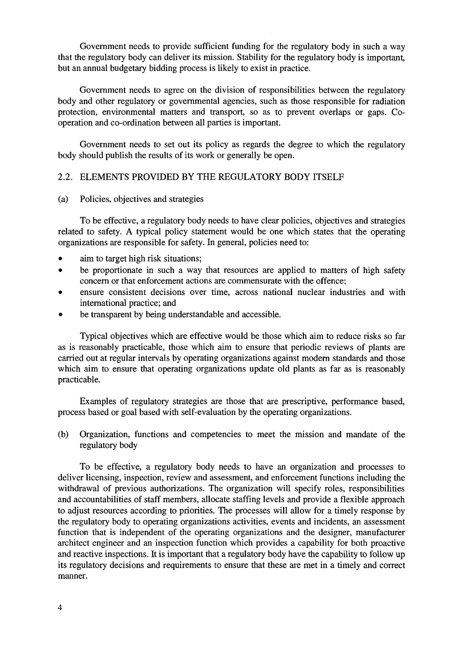Government needs to provide sufficient funding for the regulatory body in such a way that the regulatory body can deliver its mission. Stability for the regulatory body is important, but an annual budgetary bidding process is likely to exist in practice.

Government needs to agree on the division of responsibilities between the regulatory body and other regulatory or governmental agencies, such as those responsible for radiation protection, environmental matters and transport, so as to prevent overlaps or gaps. Cooperation and co-ordination between all parties is important.

Government needs to set out its policy as regards the degree to which the regulatory body should publish the results of its work or generally be open.

#### 2.2. ELEMENTS PROVIDED BY THE REGULATORY BODY ITSELF

#### (a) Policies, objectives and strategies

To be effective, a regulatory body needs to have clear policies, objectives and strategies related to safety. A typical policy statement would be one which states that the operating organizations are responsible for safety. In general, policies need to:

- aim to target high risk situations;
- be proportionate in such a way that resources are applied to matters of high safety concern or that enforcement actions are commensurate with the offence;
- ensure consistent decisions over time, across national nuclear industries and with international practice; and
- be transparent by being understandable and accessible.

Typical objectives which are effective would be those which aim to reduce risks so far as is reasonably practicable, those which aim to ensure that periodic reviews of plants are carried out at regular intervals by operating organizations against modern standards and those which aim to ensure that operating organizations update old plants as far as is reasonably practicable.

Examples of regulatory strategies are those that are prescriptive, performance based, process based or goal based with self-evaluation by the operating organizations.

(b) Organization, functions and competencies to meet the mission and mandate of the regulatory body

To be effective, a regulatory body needs to have an organization and processes to deliver licensing, inspection, review and assessment, and enforcement functions including the withdrawal of previous authorizations. The organization will specify roles, responsibilities and accountabilities of staff members, allocate staffing levels and provide a flexible approach to adjust resources according to priorities. The processes will allow for a timely response by the regulatory body to operating organizations activities, events and incidents, an assessment function that is independent of the operating organizations and the designer, manufacturer architect engineer and an inspection function which provides a capability for both proactive and reactive inspections. It is important that a regulatory body have the capability to follow up its regulatory decisions and requirements to ensure that these are met in a timely and correct manner.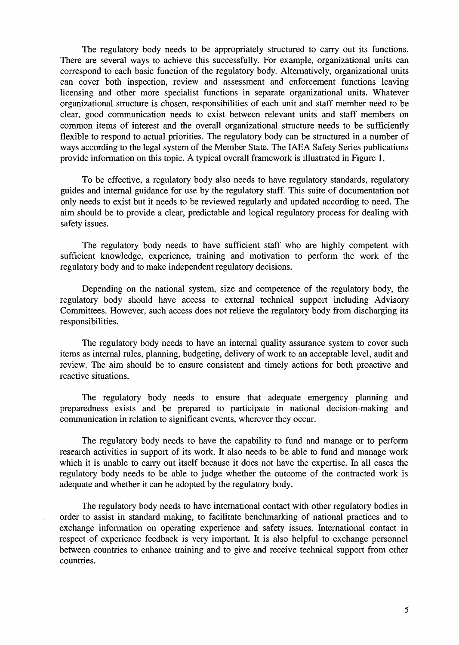The regulatory body needs to be appropriately structured to carry out its functions. There are several ways to achieve this successfully. For example, organizational units can correspond to each basic function of the regulatory body. Alternatively, organizational units can cover both inspection, review and assessment and enforcement functions leaving licensing and other more specialist functions in separate organizational units. Whatever organizational structure is chosen, responsibilities of each unit and staff member need to be clear, good communication needs to exist between relevant units and staff members on common items of interest and the overall organizational structure needs to be sufficiently flexible to respond to actual priorities. The regulatory body can be structured in a number of ways according to the legal system of the Member State. The IAEA Safety Series publications provide information on this topic. A typical overall framework is illustrated in Figure 1.

To be effective, a regulatory body also needs to have regulatory standards, regulatory guides and internal guidance for use by the regulatory staff. This suite of documentation not only needs to exist but it needs to be reviewed regularly and updated according to need. The aim should be to provide a clear, predictable and logical regulatory process for dealing with safety issues.

The regulatory body needs to have sufficient staff who are highly competent with sufficient knowledge, experience, training and motivation to perform the work of the regulatory body and to make independent regulatory decisions.

Depending on the national system, size and competence of the regulatory body, the regulatory body should have access to external technical support including Advisory Committees. However, such access does not relieve the regulatory body from discharging its responsibilities.

The regulatory body needs to have an internal quality assurance system to cover such items as internal rules, planning, budgeting, delivery of work to an acceptable level, audit and review. The aim should be to ensure consistent and timely actions for both proactive and reactive situations.

The regulatory body needs to ensure that adequate emergency planning and preparedness exists and be prepared to participate in national decision-making and communication in relation to significant events, wherever they occur.

The regulatory body needs to have the capability to fund and manage or to perform research activities in support of its work. It also needs to be able to fund and manage work which it is unable to carry out itself because it does not have the expertise. In all cases the regulatory body needs to be able to judge whether the outcome of the contracted work is adequate and whether it can be adopted by the regulatory body.

The regulatory body needs to have international contact with other regulatory bodies in order to assist in standard making, to facilitate benchmarking of national practices and to exchange information on operating experience and safety issues. International contact in respect of experience feedback is very important. It is also helpful to exchange personnel between countries to enhance training and to give and receive technical support from other countries.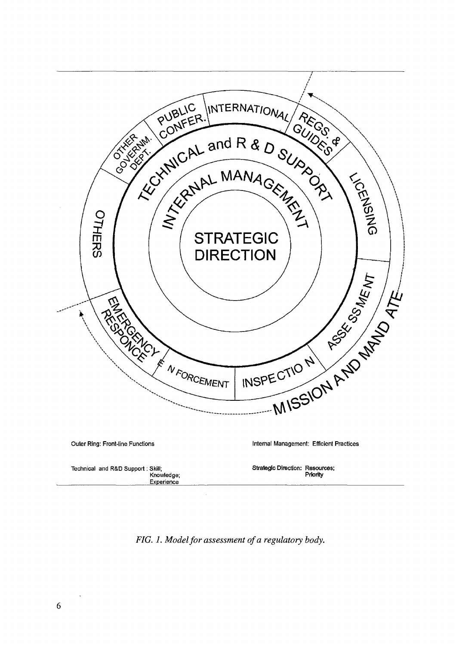

*FIG. 1. Model for assessment of a regulatory body.*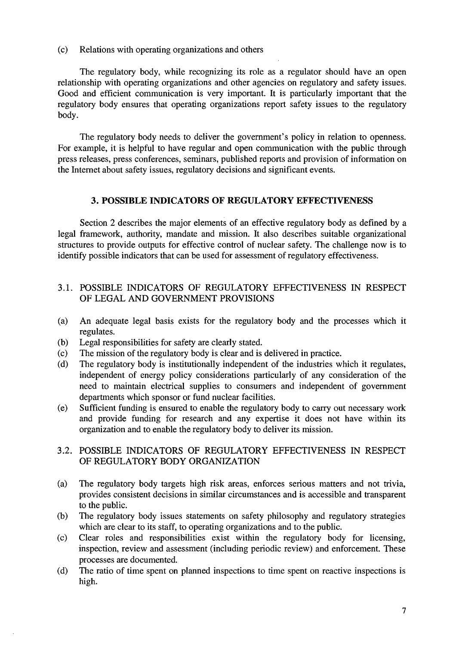(c) Relations with operating organizations and others

The regulatory body, while recognizing its role as a regulator should have an open relationship with operating organizations and other agencies on regulatory and safety issues. Good and efficient communication is very important. It is particularly important that the regulatory body ensures that operating organizations report safety issues to the regulatory body.

The regulatory body needs to deliver the government's policy in relation to openness. For example, it is helpful to have regular and open communication with the public through press releases, press conferences, seminars, published reports and provision of information on the Internet about safety issues, regulatory decisions and significant events.

## **3. POSSIBLE INDICATORS OF REGULATORY EFFECTIVENESS**

Section 2 describes the major elements of an effective regulatory body as defined by a legal framework, authority, mandate and mission. It also describes suitable organizational structures to provide outputs for effective control of nuclear safety. The challenge now is to identify possible indicators that can be used for assessment of regulatory effectiveness.

### 3.1. POSSIBLE INDICATORS OF REGULATORY EFFECTIVENESS IN RESPECT OF LEGAL AND GOVERNMENT PROVISIONS

- (a) An adequate legal basis exists for the regulatory body and the processes which it regulates.
- (b) Legal responsibilities for safety are clearly stated.
- (c) The mission of the regulatory body is clear and is delivered in practice.
- (d) The regulatory body is institutionally independent of the industries which it regulates, independent of energy policy considerations particularly of any consideration of the need to maintain electrical supplies to consumers and independent of government departments which sponsor or fund nuclear facilities.
- (e) Sufficient funding is ensured to enable the regulatory body to carry out necessary work and provide funding for research and any expertise it does not have within its organization and to enable the regulatory body to deliver its mission.

## 3.2. POSSIBLE INDICATORS OF REGULATORY EFFECTIVENESS IN RESPECT OF REGULATORY BODY ORGANIZATION

- (a) The regulatory body targets high risk areas, enforces serious matters and not trivia, provides consistent decisions in similar circumstances and is accessible and transparent to the public.
- (b) The regulatory body issues statements on safety philosophy and regulatory strategies which are clear to its staff, to operating organizations and to the public.
- (c) Clear roles and responsibilities exist within the regulatory body for licensing, inspection, review and assessment (including periodic review) and enforcement. These processes are documented.
- (d) The ratio of time spent on planned inspections to time spent on reactive inspections is high.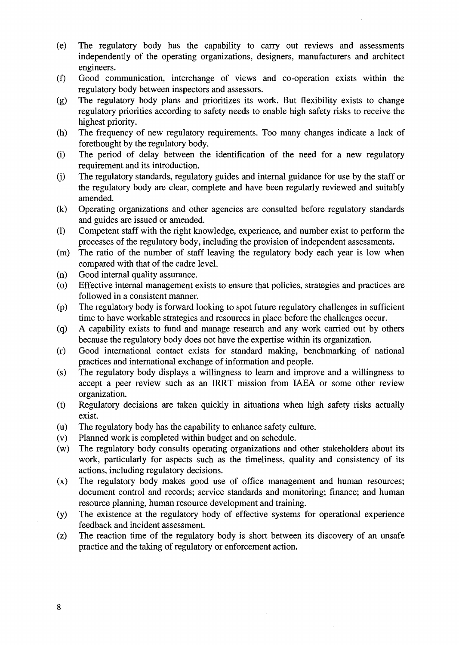- (e) The regulatory body has the capability to carry out reviews and assessments independently of the operating organizations, designers, manufacturers and architect engineers.
- (f) Good communication, interchange of views and co-operation exists within the regulatory body between inspectors and assessors.
- (g) The regulatory body plans and prioritizes its work. But flexibility exists to change regulatory priorities according to safety needs to enable high safety risks to receive the highest priority.
- (h) The frequency of new regulatory requirements. Too many changes indicate a lack of forethought by the regulatory body.
- (i) The period of delay between the identification of the need for a new regulatory requirement and its introduction,
- (j) The regulatory standards, regulatory guides and internal guidance for use by the staff or the regulatory body are clear, complete and have been regularly reviewed and suitably amended,
- (k) Operating organizations and other agencies are consulted before regulatory standards and guides are issued or amended.
- (1) Competent staff with the right knowledge, experience, and number exist to perform the processes of the regulatory body, including the provision of independent assessments,
- (m) The ratio of the number of staff leaving the regulatory body each year is low when compared with that of the cadre level,
- (n) Good internal quality assurance,
- (o) Effective internal management exists to ensure that policies, strategies and practices are followed in a consistent manner,
- (p) The regulatory body is forward looking to spot future regulatory challenges in sufficient time to have workable strategies and resources in place before the challenges occur,
- (q) A capability exists to fund and manage research and any work carried out by others because the regulatory body does not have the expertise within its organization,
- (r) Good international contact exists for standard making, benchmarking of national practices and international exchange of information and people,
- (s) The regulatory body displays a willingness to learn and improve and a willingness to accept a peer review such as an IRRT mission from IAEA or some other review organization,
- (t) Regulatory decisions are taken quickly in situations when high safety risks actually exist.
- (u) The regulatory body has the capability to enhance safety culture,
- (v) Planned work is completed within budget and on schedule,
- (w) The regulatory body consults operating organizations and other stakeholders about its work, particularly for aspects such as the timeliness, quality and consistency of its actions, including regulatory decisions,
- (x) The regulatory body makes good use of office management and human resources; document control and records; service standards and monitoring; finance; and human resource planning, human resource development and training,
- (y) The existence at the regulatory body of effective systems for operational experience feedback and incident assessment,
- (z) The reaction time of the regulatory body is short between its discovery of an unsafe practice and the taking of regulatory or enforcement action.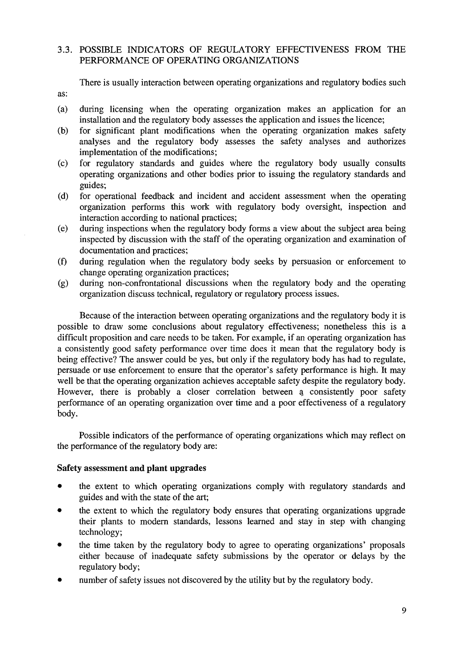## 3.3. POSSIBLE INDICATORS OF REGULATORY EFFECTIVENESS FROM THE PERFORMANCE OF OPERATING ORGANIZATIONS

There is usually interaction between operating organizations and regulatory bodies such

- (a) during licensing when the operating organization makes an application for an installation and the regulatory body assesses the application and issues the licence;
- (b) for significant plant modifications when the operating organization makes safety analyses and the regulatory body assesses the safety analyses and authorizes implementation of the modifications;
- (c) for regulatory standards and guides where the regulatory body usually consults operating organizations and other bodies prior to issuing the regulatory standards and guides;
- (d) for operational feedback and incident and accident assessment when the operating organization performs this work with regulatory body oversight, inspection and interaction according to national practices;
- (e) during inspections when the regulatory body forms a view about the subject area being inspected by discussion with the staff of the operating organization and examination of documentation and practices;
- (f) during regulation when the regulatory body seeks by persuasion or enforcement to change operating organization practices;
- (g) during non-confrontational discussions when the regulatory body and the operating organization discuss technical, regulatory or regulatory process issues.

Because of the interaction between operating organizations and the regulatory body it is possible to draw some conclusions about regulatory effectiveness; nonetheless this is a difficult proposition and care needs to be taken. For example, if an operating organization has a consistently good safety performance over time does it mean that the regulatory body is being effective? The answer could be yes, but only if the regulatory body has had to regulate, persuade or use enforcement to ensure that the operator's safety performance is high. It may well be that the operating organization achieves acceptable safety despite the regulatory body. However, there is probably a closer correlation between a consistently poor safety performance of an operating organization over time and a poor effectiveness of a regulatory body.

Possible indicators of the performance of operating organizations which may reflect on the performance of the regulatory body are:

## **Safety assessment and plant upgrades**

as:

- the extent to which operating organizations comply with regulatory standards and guides and with the state of the art;
- the extent to which the regulatory body ensures that operating organizations upgrade their plants to modern standards, lessons learned and stay in step with changing technology;
- the time taken by the regulatory body to agree to operating organizations' proposals either because of inadequate safety submissions by the operator or delays by the regulatory body;
- number of safety issues not discovered by the utility but by the regulatory body.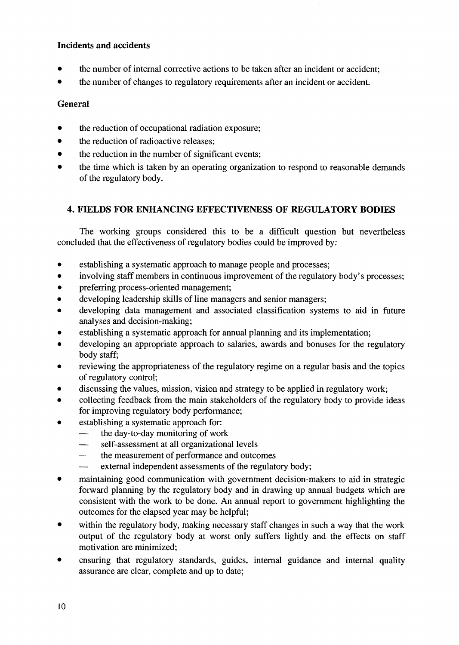## **Incidents and accidents**

- the number of internal corrective actions to be taken after an incident or accident;
- the number of changes to regulatory requirements after an incident or accident.

## **General**

- the reduction of occupational radiation exposure;
- the reduction of radioactive releases;
- the reduction in the number of significant events;
- the time which is taken by an operating organization to respond to reasonable demands of the regulatory body.

## **4. FIELDS FOR ENHANCING EFFECTIVENESS OF REGULATORY BODIES**

The working groups considered this to be a difficult question but nevertheless concluded that the effectiveness of regulatory bodies could be improved by:

- establishing a systematic approach to manage people and processes;
- involving staff members in continuous improvement of the regulatory body's processes;
- preferring process-oriented management;
- developing leadership skills of line managers and senior managers;
- developing data management and associated classification systems to aid in future analyses and decision-making;
- establishing a systematic approach for annual planning and its implementation;
- developing an appropriate approach to salaries, awards and bonuses for the regulatory body staff;
- reviewing the appropriateness of the regulatory regime on a regular basis and the topics of regulatory control;
- discussing the values, mission, vision and strategy to be applied in regulatory work;
- collecting feedback from the main stakeholders of the regulatory body to provide ideas for improving regulatory body performance;
- establishing a systematic approach for:
	- the day-to-day monitoring of work<br>— self-assessment at all organizations
	- self-assessment at all organizational levels
	- the measurement of performance and outcomes
	- external independent assessments of the regulatory body;
- maintaining good communication with government decision-makers to aid in strategic forward planning by the regulatory body and in drawing up annual budgets which are consistent with the work to be done. An annual report to government highlighting the outcomes for the elapsed year may be helpful;
- within the regulatory body, making necessary staff changes in such a way that the work output of the regulatory body at worst only suffers lightly and the effects on staff motivation are minimized;
- ensuring that regulatory standards, guides, internal guidance and internal quality assurance are clear, complete and up to date;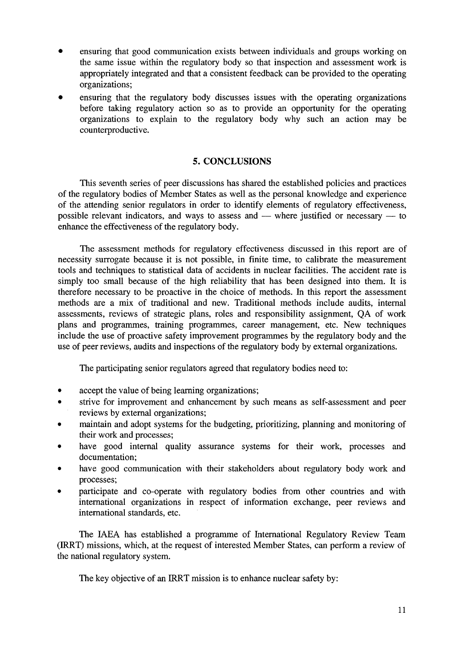- ensuring that good communication exists between individuals and groups working on the same issue within the regulatory body so that inspection and assessment work is appropriately integrated and that a consistent feedback can be provided to the operating organizations;
- ensuring that the regulatory body discusses issues with the operating organizations before taking regulatory action so as to provide an opportunity for the operating organizations to explain to the regulatory body why such an action may be counterproductive.

## **5. CONCLUSIONS**

This seventh series of peer discussions has shared the established policies and practices of the regulatory bodies of Member States as well as the personal knowledge and experience of the attending senior regulators in order to identify elements of regulatory effectiveness, possible relevant indicators, and ways to assess and — where justified or necessary — to enhance the effectiveness of the regulatory body.

The assessment methods for regulatory effectiveness discussed in this report are of necessity surrogate because it is not possible, in finite time, to calibrate the measurement tools and techniques to statistical data of accidents in nuclear facilities. The accident rate is simply too small because of the high reliability that has been designed into them. It is therefore necessary to be proactive in the choice of methods. In this report the assessment methods are a mix of traditional and new. Traditional methods include audits, internal assessments, reviews of strategic plans, roles and responsibility assignment, QA of work plans and programmes, training programmes, career management, etc. New techniques include the use of proactive safety improvement programmes by the regulatory body and the use of peer reviews, audits and inspections of the regulatory body by external organizations.

The participating senior regulators agreed that regulatory bodies need to:

- accept the value of being learning organizations;
- strive for improvement and enhancement by such means as self-assessment and peer reviews by external organizations;
- maintain and adopt systems for the budgeting, prioritizing, planning and monitoring of their work and processes;
- have good internal quality assurance systems for their work, processes and documentation;
- have good communication with their stakeholders about regulatory body work and processes;
- participate and co-operate with regulatory bodies from other countries and with international organizations in respect of information exchange, peer reviews and international standards, etc.

The IAEA has established a programme of International Regulatory Review Team (IRRT) missions, which, at the request of interested Member States, can perform a review of the national regulatory system.

The key objective of an IRRT mission is to enhance nuclear safety by: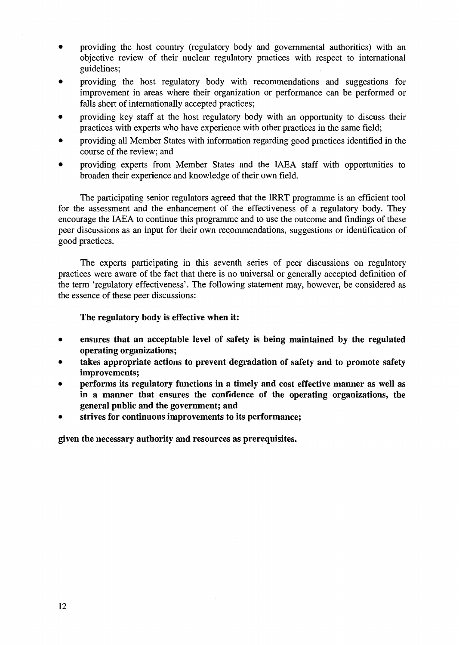- providing the host country (regulatory body and governmental authorities) with an objective review of their nuclear regulatory practices with respect to international guidelines;
- providing the host regulatory body with recommendations and suggestions for improvement in areas where their organization or performance can be performed or falls short of internationally accepted practices;
- providing key staff at the host regulatory body with an opportunity to discuss their practices with experts who have experience with other practices in the same field;
- providing all Member States with information regarding good practices identified in the course of the review; and
- providing experts from Member States and the IAEA staff with opportunities to broaden their experience and knowledge of their own field.

The participating senior regulators agreed that the IRRT programme is an efficient tool for the assessment and the enhancement of the effectiveness of a regulatory body. They encourage the IAEA to continue this programme and to use the outcome and findings of these peer discussions as an input for their own recommendations, suggestions or identification of good practices.

The experts participating in this seventh series of peer discussions on regulatory practices were aware of the fact that there is no universal or generally accepted definition of the term 'regulatory effectiveness'. The following statement may, however, be considered as the essence of these peer discussions:

#### **The regulatory body is effective when it:**

- **ensures that an acceptable level of safety is being maintained by the regulated operating organizations;**
- **takes appropriate actions to prevent degradation of safety and to promote safety improvements;**
- **performs its regulatory functions in a timely and cost effective manner as well as in a manner that ensures the confidence of the operating organizations, the general public and the government; and**
- **strives for continuous improvements to its performance;**

**given the necessary authority and resources as prerequisites.**